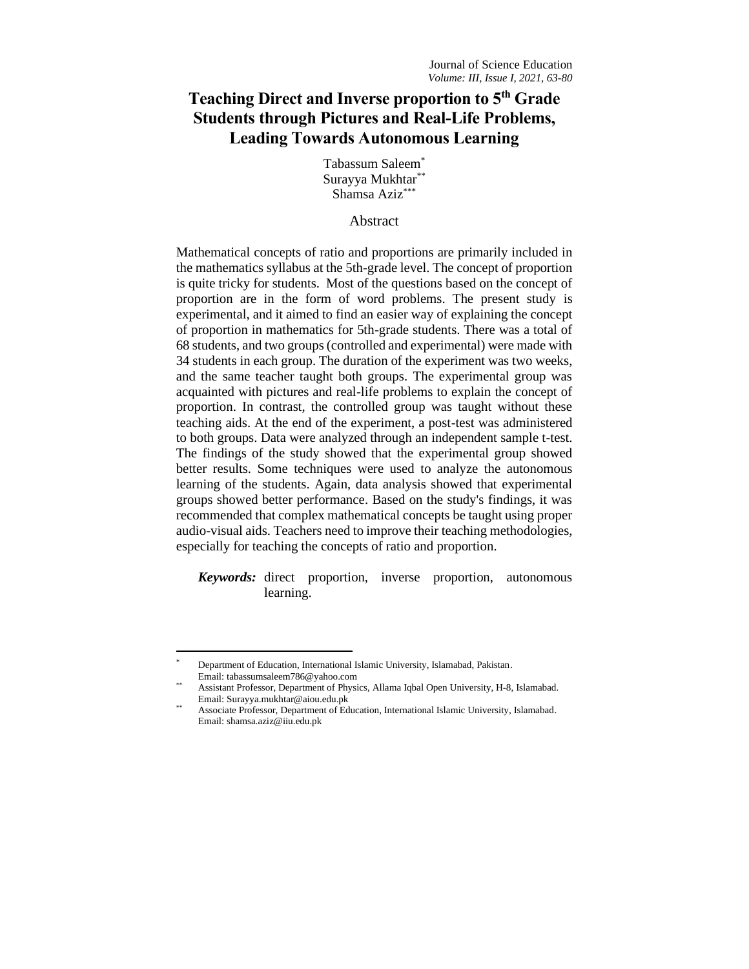# **Teaching Direct and Inverse proportion to 5th Grade Students through Pictures and Real-Life Problems, Leading Towards Autonomous Learning**

Tabassum Saleem\* Surayya Mukhtar\*\* Shamsa Aziz\*\*\*

# **Abstract**

Mathematical concepts of ratio and proportions are primarily included in the mathematics syllabus at the 5th-grade level. The concept of proportion is quite tricky for students. Most of the questions based on the concept of proportion are in the form of word problems. The present study is experimental, and it aimed to find an easier way of explaining the concept of proportion in mathematics for 5th-grade students. There was a total of 68 students, and two groups (controlled and experimental) were made with 34 students in each group. The duration of the experiment was two weeks, and the same teacher taught both groups. The experimental group was acquainted with pictures and real-life problems to explain the concept of proportion. In contrast, the controlled group was taught without these teaching aids. At the end of the experiment, a post-test was administered to both groups. Data were analyzed through an independent sample t-test. The findings of the study showed that the experimental group showed better results. Some techniques were used to analyze the autonomous learning of the students. Again, data analysis showed that experimental groups showed better performance. Based on the study's findings, it was recommended that complex mathematical concepts be taught using proper audio-visual aids. Teachers need to improve their teaching methodologies, especially for teaching the concepts of ratio and proportion.

*Keywords:* direct proportion, inverse proportion, autonomous learning.

Department of Education, International Islamic University, Islamabad, Pakistan. Email: tabassumsaleem786@yahoo.com

Assistant Professor, Department of Physics, Allama Iqbal Open University, H-8, Islamabad. Email: Surayya.mukhtar@aiou.edu.pk

Associate Professor, Department of Education, International Islamic University, Islamabad. Email: shamsa.aziz@iiu.edu.pk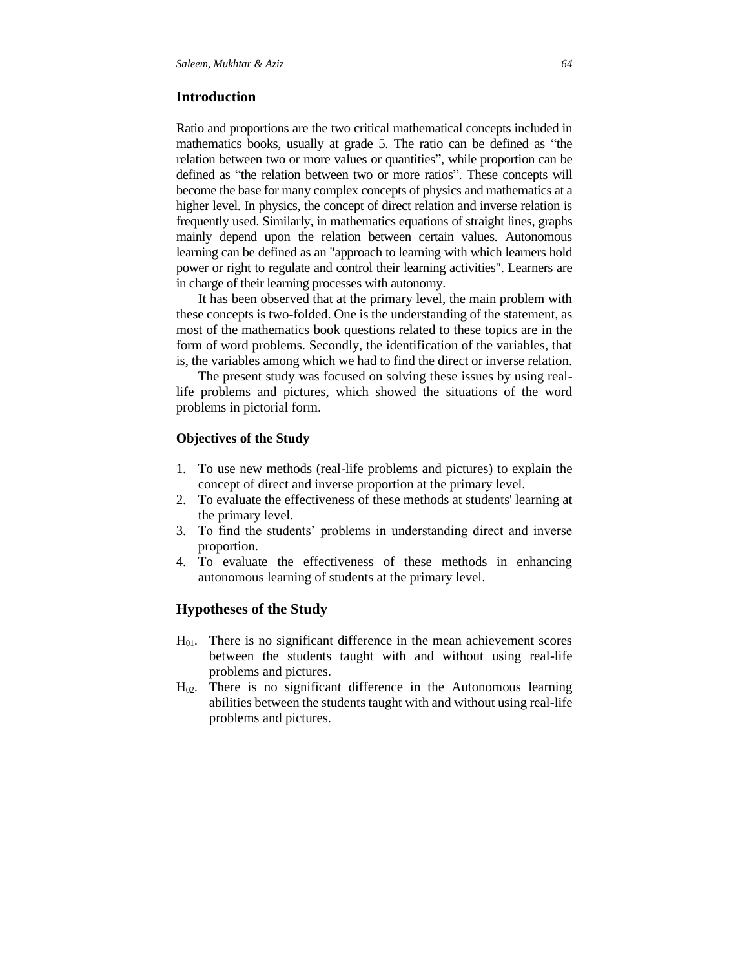## **Introduction**

Ratio and proportions are the two critical mathematical concepts included in mathematics books, usually at grade 5. The ratio can be defined as "the relation between two or more values or quantities", while proportion can be defined as "the relation between two or more ratios". These concepts will become the base for many complex concepts of physics and mathematics at a higher level. In physics, the concept of direct relation and inverse relation is frequently used. Similarly, in mathematics equations of straight lines, graphs mainly depend upon the relation between certain values. Autonomous learning can be defined as an "approach to learning with which learners hold power or right to regulate and control their learning activities". Learners are in charge of their learning processes with autonomy.

It has been observed that at the primary level, the main problem with these concepts is two-folded. One is the understanding of the statement, as most of the mathematics book questions related to these topics are in the form of word problems. Secondly, the identification of the variables, that is, the variables among which we had to find the direct or inverse relation.

The present study was focused on solving these issues by using reallife problems and pictures, which showed the situations of the word problems in pictorial form.

## **Objectives of the Study**

- 1. To use new methods (real-life problems and pictures) to explain the concept of direct and inverse proportion at the primary level.
- 2. To evaluate the effectiveness of these methods at students' learning at the primary level.
- 3. To find the students' problems in understanding direct and inverse proportion.
- 4. To evaluate the effectiveness of these methods in enhancing autonomous learning of students at the primary level.

## **Hypotheses of the Study**

- $H<sub>01</sub>$ . There is no significant difference in the mean achievement scores between the students taught with and without using real-life problems and pictures.
- H02. There is no significant difference in the Autonomous learning abilities between the students taught with and without using real-life problems and pictures.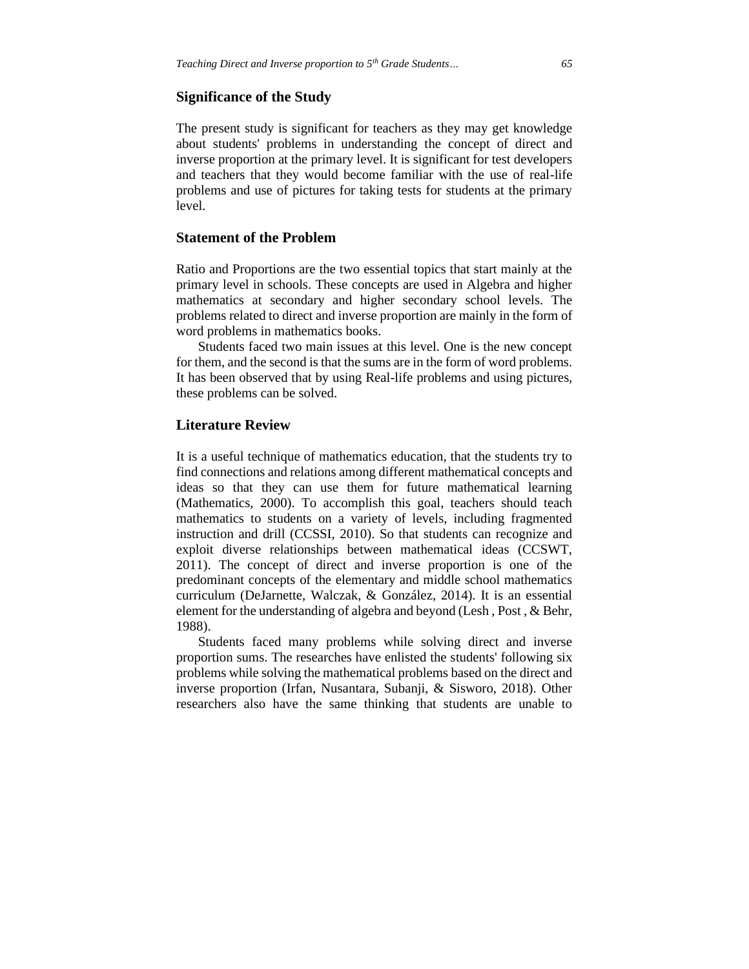#### **Significance of the Study**

The present study is significant for teachers as they may get knowledge about students' problems in understanding the concept of direct and inverse proportion at the primary level. It is significant for test developers and teachers that they would become familiar with the use of real-life problems and use of pictures for taking tests for students at the primary level.

# **Statement of the Problem**

Ratio and Proportions are the two essential topics that start mainly at the primary level in schools. These concepts are used in Algebra and higher mathematics at secondary and higher secondary school levels. The problems related to direct and inverse proportion are mainly in the form of word problems in mathematics books.

Students faced two main issues at this level. One is the new concept for them, and the second is that the sums are in the form of word problems. It has been observed that by using Real-life problems and using pictures, these problems can be solved.

## **Literature Review**

It is a useful technique of mathematics education, that the students try to find connections and relations among different mathematical concepts and ideas so that they can use them for future mathematical learning (Mathematics, 2000). To accomplish this goal, teachers should teach mathematics to students on a variety of levels, including fragmented instruction and drill (CCSSI, 2010). So that students can recognize and exploit diverse relationships between mathematical ideas (CCSWT, 2011). The concept of direct and inverse proportion is one of the predominant concepts of the elementary and middle school mathematics curriculum (DeJarnette, Walczak, & González, 2014). It is an essential element for the understanding of algebra and beyond (Lesh , Post , & Behr, 1988).

Students faced many problems while solving direct and inverse proportion sums. The researches have enlisted the students' following six problems while solving the mathematical problems based on the direct and inverse proportion (Irfan, Nusantara, Subanji, & Sisworo, 2018). Other researchers also have the same thinking that students are unable to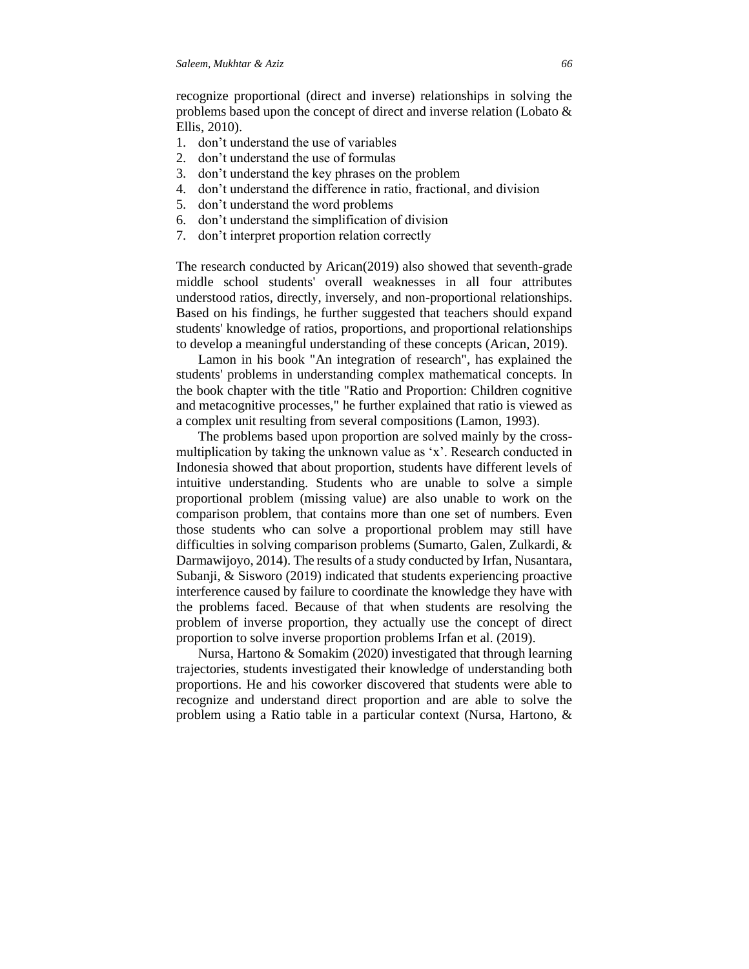recognize proportional (direct and inverse) relationships in solving the problems based upon the concept of direct and inverse relation (Lobato & Ellis, 2010).

- 1. don't understand the use of variables
- 2. don't understand the use of formulas
- 3. don't understand the key phrases on the problem
- 4. don't understand the difference in ratio, fractional, and division
- 5. don't understand the word problems
- 6. don't understand the simplification of division
- 7. don't interpret proportion relation correctly

The research conducted by Arican(2019) also showed that seventh-grade middle school students' overall weaknesses in all four attributes understood ratios, directly, inversely, and non-proportional relationships. Based on his findings, he further suggested that teachers should expand students' knowledge of ratios, proportions, and proportional relationships to develop a meaningful understanding of these concepts (Arican, 2019).

Lamon in his book "An integration of research", has explained the students' problems in understanding complex mathematical concepts. In the book chapter with the title "Ratio and Proportion: Children cognitive and metacognitive processes," he further explained that ratio is viewed as a complex unit resulting from several compositions (Lamon, 1993).

The problems based upon proportion are solved mainly by the crossmultiplication by taking the unknown value as 'x'. Research conducted in Indonesia showed that about proportion, students have different levels of intuitive understanding. Students who are unable to solve a simple proportional problem (missing value) are also unable to work on the comparison problem, that contains more than one set of numbers. Even those students who can solve a proportional problem may still have difficulties in solving comparison problems (Sumarto, Galen, Zulkardi, & Darmawijoyo, 2014). The results of a study conducted by Irfan, Nusantara, Subanji, & Sisworo (2019) indicated that students experiencing proactive interference caused by failure to coordinate the knowledge they have with the problems faced. Because of that when students are resolving the problem of inverse proportion, they actually use the concept of direct proportion to solve inverse proportion problems Irfan et al. (2019).

Nursa, Hartono & Somakim (2020) investigated that through learning trajectories, students investigated their knowledge of understanding both proportions. He and his coworker discovered that students were able to recognize and understand direct proportion and are able to solve the problem using a Ratio table in a particular context (Nursa, Hartono, &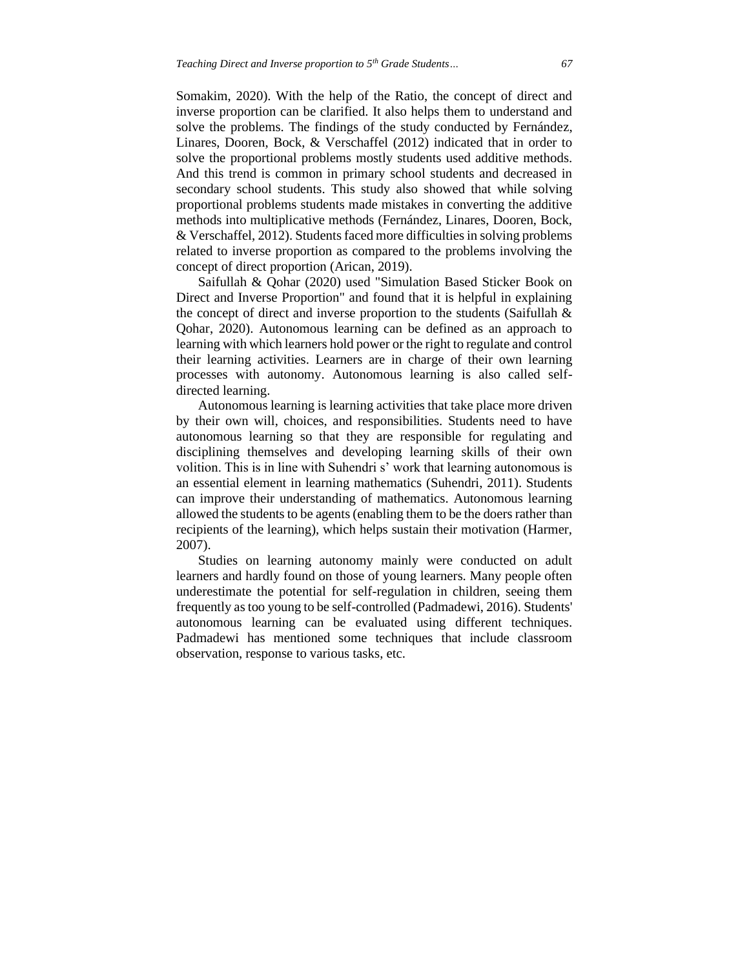Somakim, 2020). With the help of the Ratio, the concept of direct and inverse proportion can be clarified. It also helps them to understand and solve the problems. The findings of the study conducted by Fernández, Linares, Dooren, Bock, & Verschaffel (2012) indicated that in order to solve the proportional problems mostly students used additive methods. And this trend is common in primary school students and decreased in secondary school students. This study also showed that while solving proportional problems students made mistakes in converting the additive methods into multiplicative methods (Fernández, Linares, Dooren, Bock, & Verschaffel, 2012). Students faced more difficulties in solving problems related to inverse proportion as compared to the problems involving the concept of direct proportion (Arican, 2019).

Saifullah & Qohar (2020) used "Simulation Based Sticker Book on Direct and Inverse Proportion" and found that it is helpful in explaining the concept of direct and inverse proportion to the students (Saifullah & Qohar, 2020). Autonomous learning can be defined as an approach to learning with which learners hold power or the right to regulate and control their learning activities. Learners are in charge of their own learning processes with autonomy. Autonomous learning is also called selfdirected learning.

Autonomous learning is learning activities that take place more driven by their own will, choices, and responsibilities. Students need to have autonomous learning so that they are responsible for regulating and disciplining themselves and developing learning skills of their own volition. This is in line with Suhendri s' work that learning autonomous is an essential element in learning mathematics (Suhendri, 2011). Students can improve their understanding of mathematics. Autonomous learning allowed the students to be agents (enabling them to be the doers rather than recipients of the learning), which helps sustain their motivation (Harmer, 2007).

Studies on learning autonomy mainly were conducted on adult learners and hardly found on those of young learners. Many people often underestimate the potential for self-regulation in children, seeing them frequently as too young to be self-controlled (Padmadewi, 2016). Students' autonomous learning can be evaluated using different techniques. Padmadewi has mentioned some techniques that include classroom observation, response to various tasks, etc.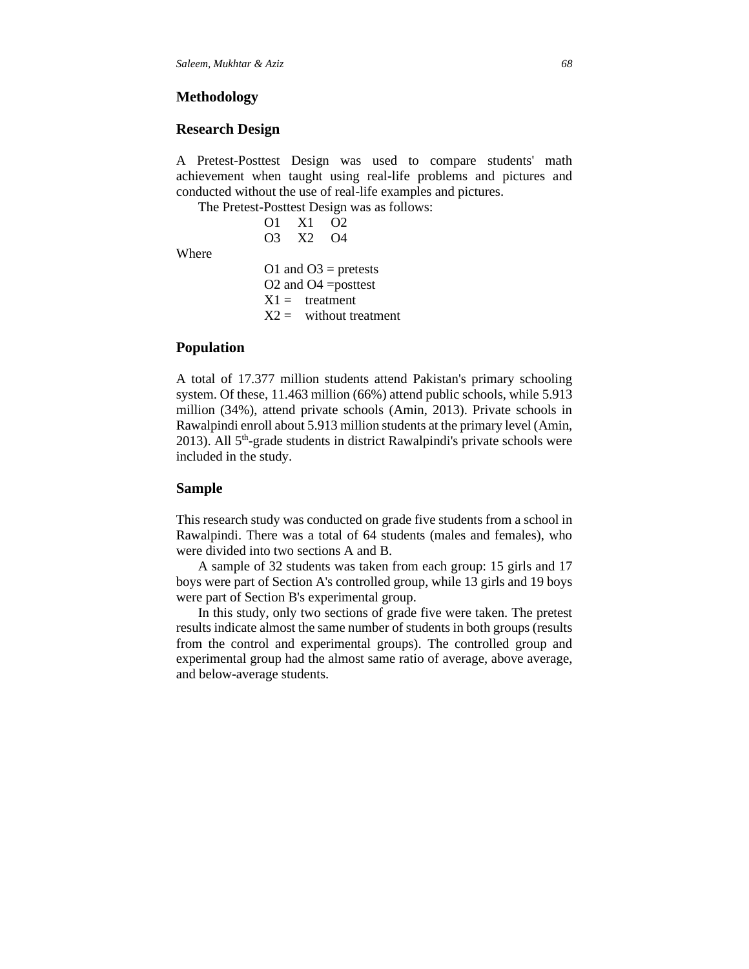## **Methodology**

#### **Research Design**

A Pretest-Posttest Design was used to compare students' math achievement when taught using real-life problems and pictures and conducted without the use of real-life examples and pictures.

The Pretest-Posttest Design was as follows:

| O1 | X <sub>1</sub> | O2   |
|----|----------------|------|
| OЗ | X <sub>2</sub> | ( )4 |
|    |                |      |

**Where** 

O1 and  $O3$  = pretests O2 and O4 =posttest  $X1 =$  treatment  $X2 =$  without treatment

## **Population**

A total of 17.377 million students attend Pakistan's primary schooling system. Of these, 11.463 million (66%) attend public schools, while 5.913 million (34%), attend private schools (Amin, 2013). Private schools in Rawalpindi enroll about 5.913 million students at the primary level (Amin, 2013). All 5<sup>th</sup>-grade students in district Rawalpindi's private schools were included in the study.

#### **Sample**

This research study was conducted on grade five students from a school in Rawalpindi. There was a total of 64 students (males and females), who were divided into two sections A and B.

A sample of 32 students was taken from each group: 15 girls and 17 boys were part of Section A's controlled group, while 13 girls and 19 boys were part of Section B's experimental group.

In this study, only two sections of grade five were taken. The pretest results indicate almost the same number of students in both groups (results from the control and experimental groups). The controlled group and experimental group had the almost same ratio of average, above average, and below-average students.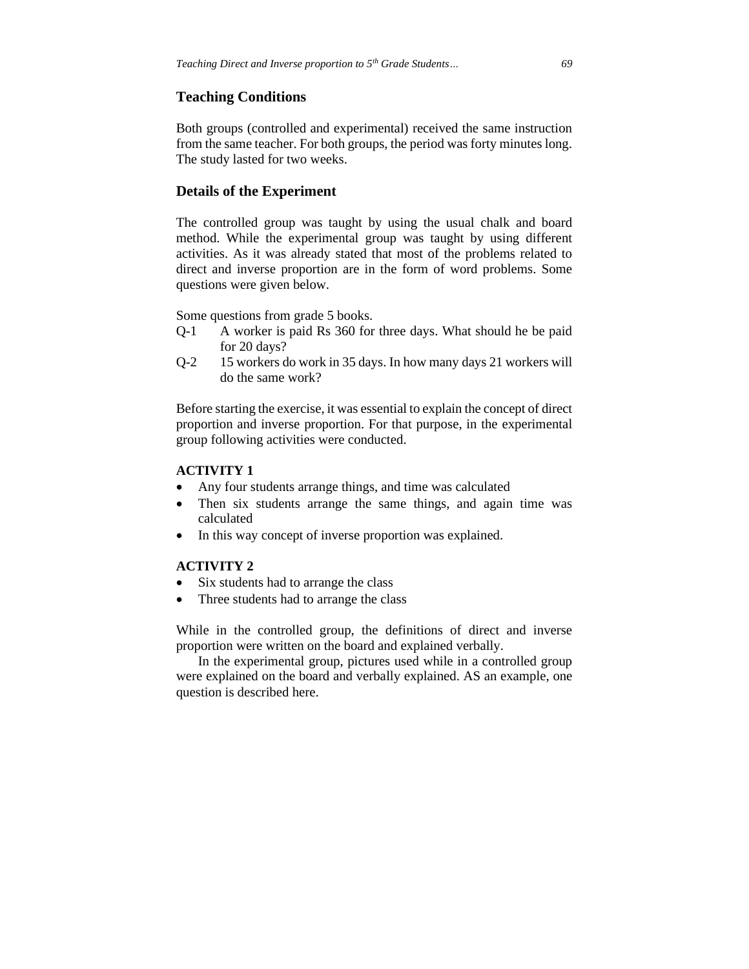#### **Teaching Conditions**

Both groups (controlled and experimental) received the same instruction from the same teacher. For both groups, the period was forty minutes long. The study lasted for two weeks.

## **Details of the Experiment**

The controlled group was taught by using the usual chalk and board method. While the experimental group was taught by using different activities. As it was already stated that most of the problems related to direct and inverse proportion are in the form of word problems. Some questions were given below.

Some questions from grade 5 books.

- Q-1 A worker is paid Rs 360 for three days. What should he be paid for 20 days?
- Q-2 15 workers do work in 35 days. In how many days 21 workers will do the same work?

Before starting the exercise, it was essential to explain the concept of direct proportion and inverse proportion. For that purpose, in the experimental group following activities were conducted.

## **ACTIVITY 1**

- Any four students arrange things, and time was calculated
- Then six students arrange the same things, and again time was calculated
- In this way concept of inverse proportion was explained.

#### **ACTIVITY 2**

- Six students had to arrange the class
- Three students had to arrange the class

While in the controlled group, the definitions of direct and inverse proportion were written on the board and explained verbally.

In the experimental group, pictures used while in a controlled group were explained on the board and verbally explained. AS an example, one question is described here.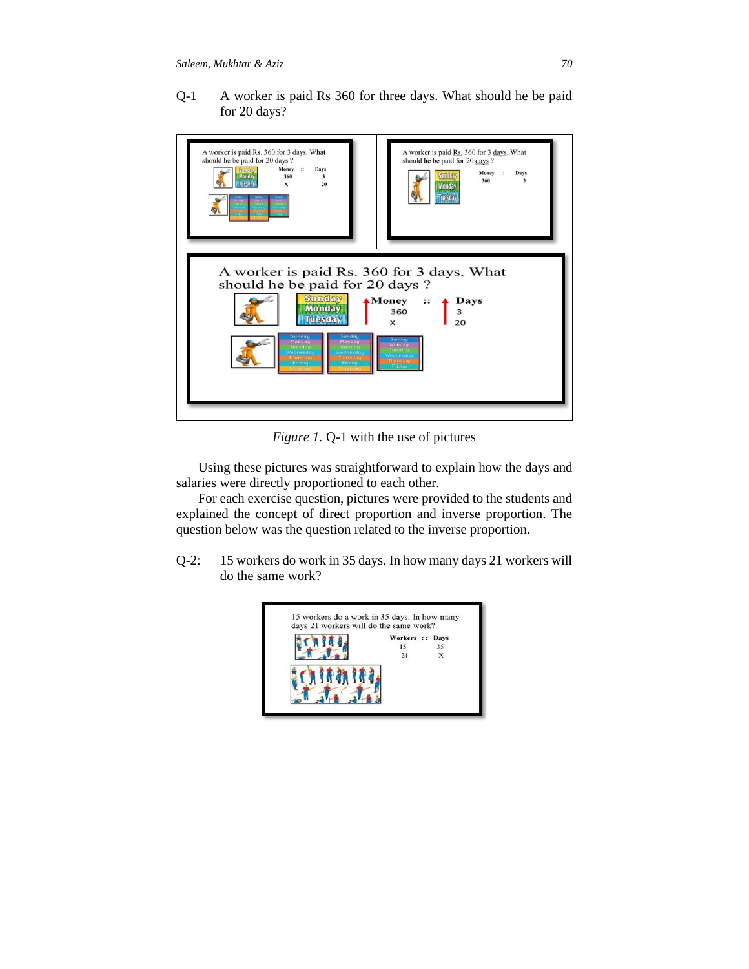Q-1 A worker is paid Rs 360 for three days. What should he be paid for 20 days?



*Figure 1.* Q-1 with the use of pictures

Using these pictures was straightforward to explain how the days and salaries were directly proportioned to each other.

For each exercise question, pictures were provided to the students and explained the concept of direct proportion and inverse proportion. The question below was the question related to the inverse proportion.

Q-2: 15 workers do work in 35 days. In how many days 21 workers will do the same work?

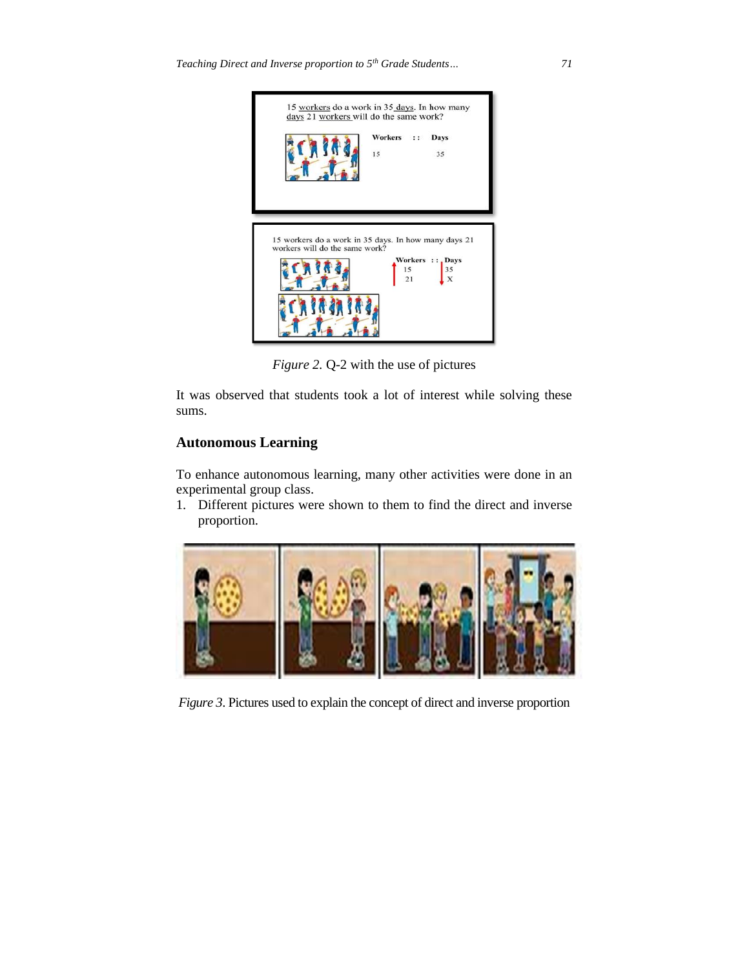

*Figure 2.* Q-2 with the use of pictures

It was observed that students took a lot of interest while solving these sums.

# **Autonomous Learning**

To enhance autonomous learning, many other activities were done in an experimental group class.

1. Different pictures were shown to them to find the direct and inverse proportion.



*Figure 3*. Pictures used to explain the concept of direct and inverse proportion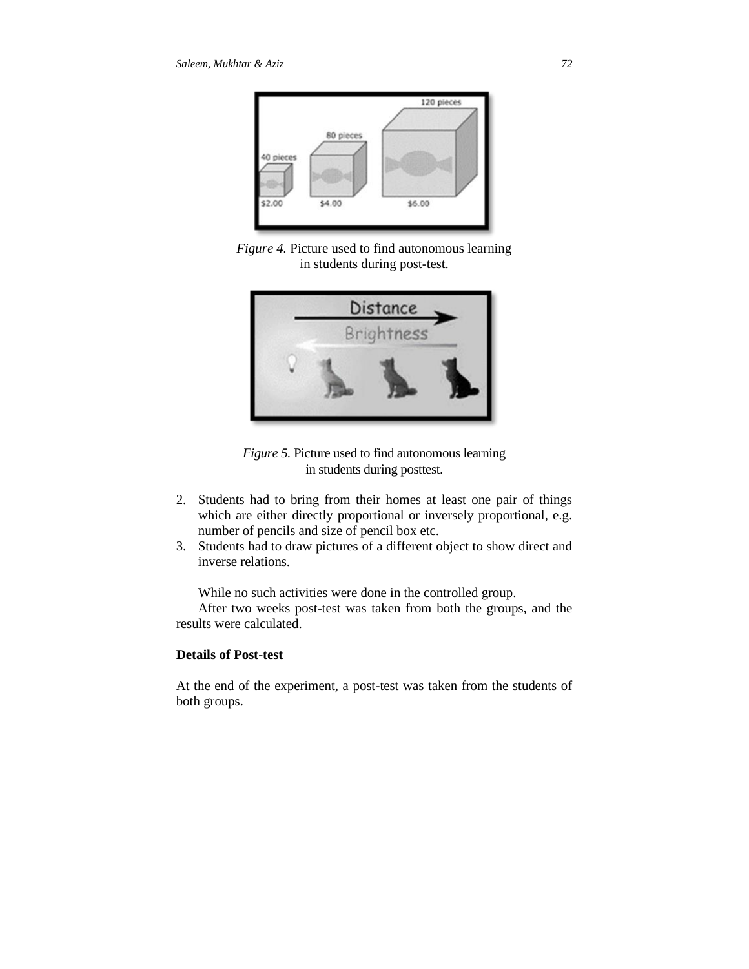

*Figure 4.* Picture used to find autonomous learning in students during post-test.



*Figure 5.* Picture used to find autonomous learning in students during posttest.

- 2. Students had to bring from their homes at least one pair of things which are either directly proportional or inversely proportional, e.g. number of pencils and size of pencil box etc.
- 3. Students had to draw pictures of a different object to show direct and inverse relations.

While no such activities were done in the controlled group.

After two weeks post-test was taken from both the groups, and the results were calculated.

# **Details of Post-test**

At the end of the experiment, a post-test was taken from the students of both groups.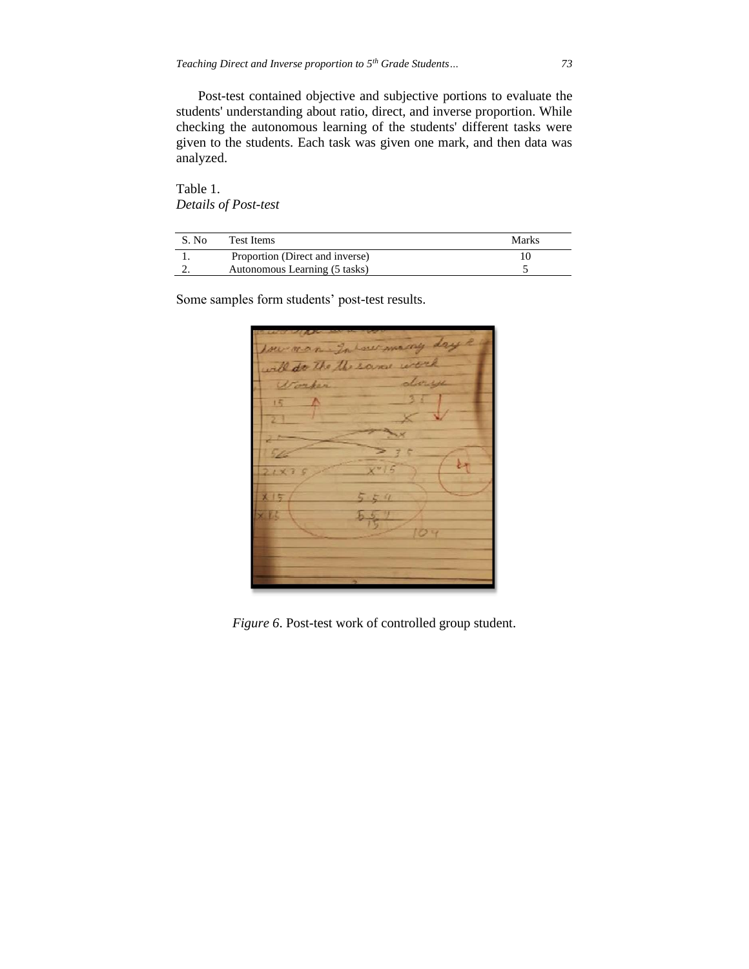Post-test contained objective and subjective portions to evaluate the students' understanding about ratio, direct, and inverse proportion. While checking the autonomous learning of the students' different tasks were given to the students. Each task was given one mark, and then data was analyzed.

Table 1. *Details of Post-test*

| S. No. | Test Items                      | Marks |
|--------|---------------------------------|-------|
|        | Proportion (Direct and inverse) |       |
|        | Autonomous Learning (5 tasks)   |       |

Some samples form students' post-test results.

do the the same ಕಿಸ

*Figure 6*. Post-test work of controlled group student.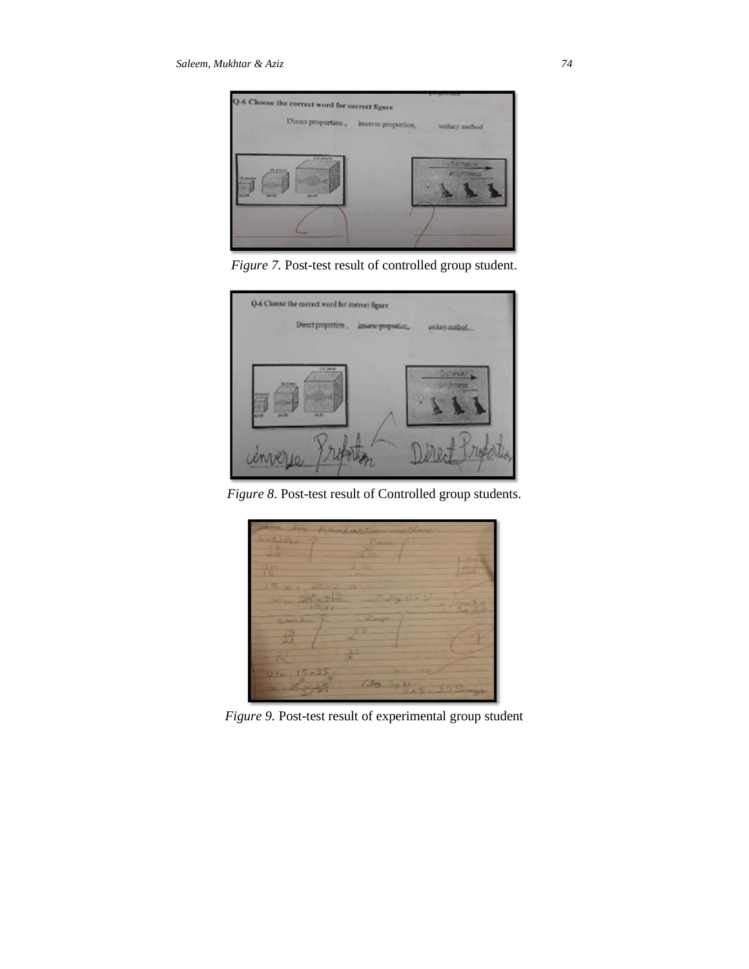

*Figure 7.* Post-test result of controlled group student.



*Figure 8*. Post-test result of Controlled group students.



*Figure 9.* Post-test result of experimental group student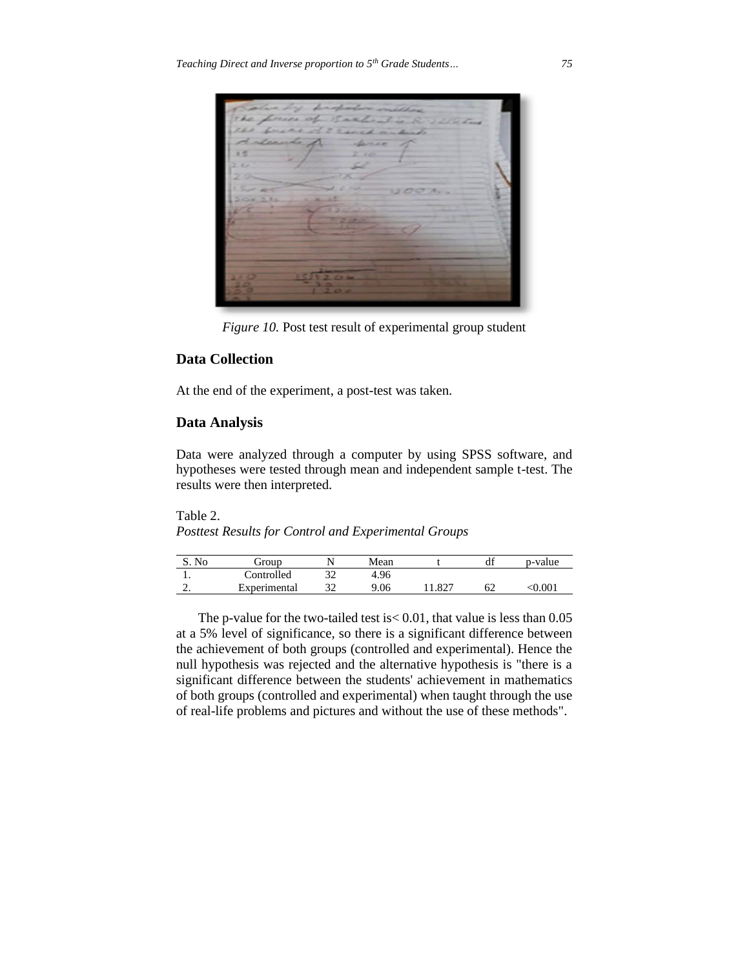

*Figure 10.* Post test result of experimental group student

# **Data Collection**

At the end of the experiment, a post-test was taken.

# **Data Analysis**

Data were analyzed through a computer by using SPSS software, and hypotheses were tested through mean and independent sample t-test. The results were then interpreted.

Table 2. *Posttest Results for Control and Experimental Groups*

| $S_{\text{No}}$ | droup        |   | Mean |      | df | p-value   |
|-----------------|--------------|---|------|------|----|-----------|
| . .             | Controlled   | ັ | 4.96 |      |    |           |
| ٠.              | Experimental | ັ | 9.06 | .827 | 62 | $<$ 0.00. |

The p-value for the two-tailed test is< 0.01, that value is less than 0.05 at a 5% level of significance, so there is a significant difference between the achievement of both groups (controlled and experimental). Hence the null hypothesis was rejected and the alternative hypothesis is "there is a significant difference between the students' achievement in mathematics of both groups (controlled and experimental) when taught through the use of real-life problems and pictures and without the use of these methods".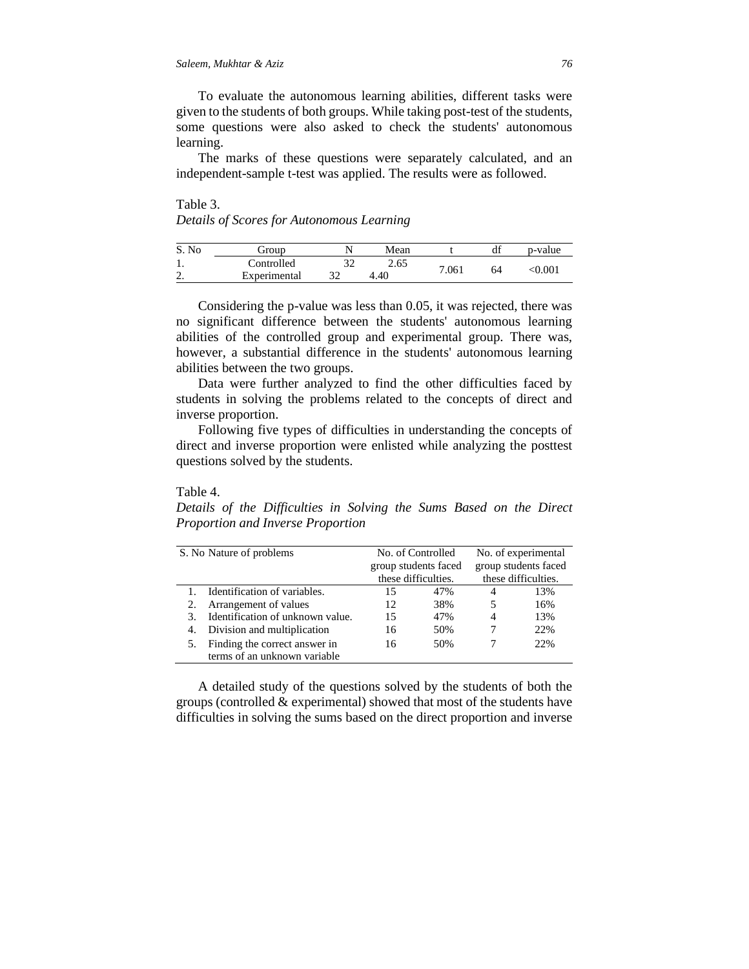To evaluate the autonomous learning abilities, different tasks were given to the students of both groups. While taking post-test of the students, some questions were also asked to check the students' autonomous learning.

The marks of these questions were separately calculated, and an independent-sample t-test was applied. The results were as followed.

# Table 3. *Details of Scores for Autonomous Learning*

| No                 | eroup        |     | Mean |       | df | p-value |
|--------------------|--------------|-----|------|-------|----|---------|
| . .                | Controlled   |     | 2.65 | 7.061 |    |         |
| $\sim$<br><u>.</u> | Experimental | ے ر | 4.40 |       | 64 | 0.001   |

Considering the p-value was less than 0.05, it was rejected, there was no significant difference between the students' autonomous learning abilities of the controlled group and experimental group. There was, however, a substantial difference in the students' autonomous learning abilities between the two groups.

Data were further analyzed to find the other difficulties faced by students in solving the problems related to the concepts of direct and inverse proportion.

Following five types of difficulties in understanding the concepts of direct and inverse proportion were enlisted while analyzing the posttest questions solved by the students.

#### Table 4.

*Details of the Difficulties in Solving the Sums Based on the Direct Proportion and Inverse Proportion*

| S. No Nature of problems |                                  | No. of Controlled    |     | No. of experimental  |     |
|--------------------------|----------------------------------|----------------------|-----|----------------------|-----|
|                          |                                  | group students faced |     | group students faced |     |
|                          |                                  | these difficulties.  |     | these difficulties.  |     |
|                          | Identification of variables.     | 15                   | 47% | 4                    | 13% |
|                          | Arrangement of values            | 12.                  | 38% | 5                    | 16% |
| 3.                       | Identification of unknown value. | 15                   | 47% | 4                    | 13% |
| 4.                       | Division and multiplication      | 16                   | 50% |                      | 22% |
|                          | Finding the correct answer in    | 16                   | 50% |                      | 22% |
|                          | terms of an unknown variable     |                      |     |                      |     |

A detailed study of the questions solved by the students of both the groups (controlled & experimental) showed that most of the students have difficulties in solving the sums based on the direct proportion and inverse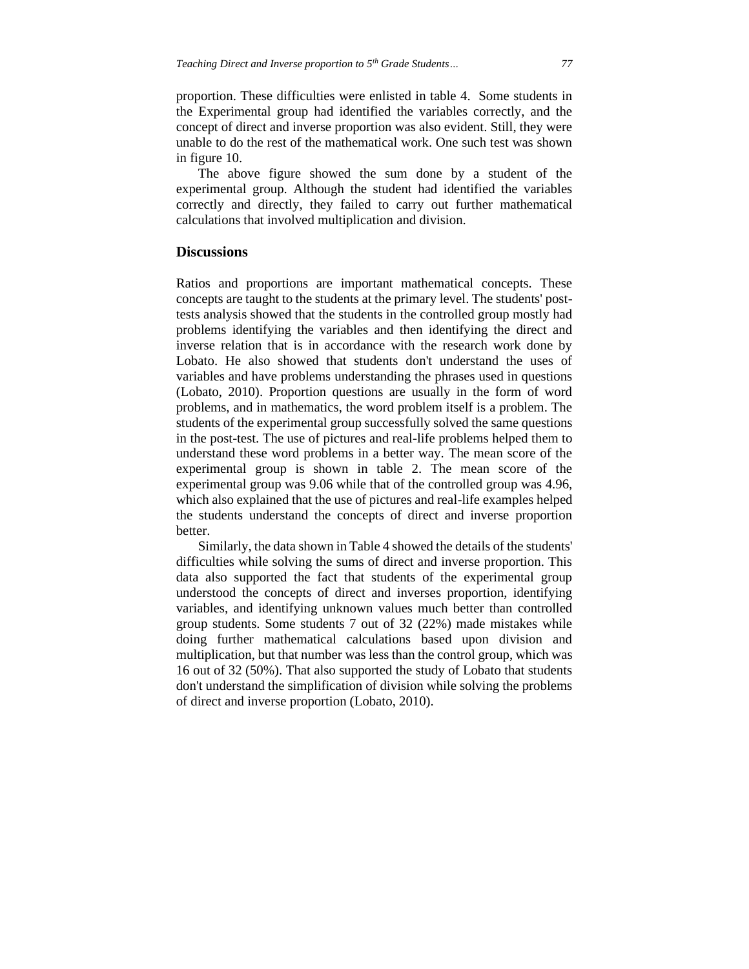proportion. These difficulties were enlisted in table 4. Some students in the Experimental group had identified the variables correctly, and the concept of direct and inverse proportion was also evident. Still, they were unable to do the rest of the mathematical work. One such test was shown in figure 10.

The above figure showed the sum done by a student of the experimental group. Although the student had identified the variables correctly and directly, they failed to carry out further mathematical calculations that involved multiplication and division.

#### **Discussions**

Ratios and proportions are important mathematical concepts. These concepts are taught to the students at the primary level. The students' posttests analysis showed that the students in the controlled group mostly had problems identifying the variables and then identifying the direct and inverse relation that is in accordance with the research work done by Lobato. He also showed that students don't understand the uses of variables and have problems understanding the phrases used in questions (Lobato, 2010). Proportion questions are usually in the form of word problems, and in mathematics, the word problem itself is a problem. The students of the experimental group successfully solved the same questions in the post-test. The use of pictures and real-life problems helped them to understand these word problems in a better way. The mean score of the experimental group is shown in table 2. The mean score of the experimental group was 9.06 while that of the controlled group was 4.96, which also explained that the use of pictures and real-life examples helped the students understand the concepts of direct and inverse proportion better.

Similarly, the data shown in Table 4 showed the details of the students' difficulties while solving the sums of direct and inverse proportion. This data also supported the fact that students of the experimental group understood the concepts of direct and inverses proportion, identifying variables, and identifying unknown values much better than controlled group students. Some students 7 out of 32 (22%) made mistakes while doing further mathematical calculations based upon division and multiplication, but that number was less than the control group, which was 16 out of 32 (50%). That also supported the study of Lobato that students don't understand the simplification of division while solving the problems of direct and inverse proportion (Lobato, 2010).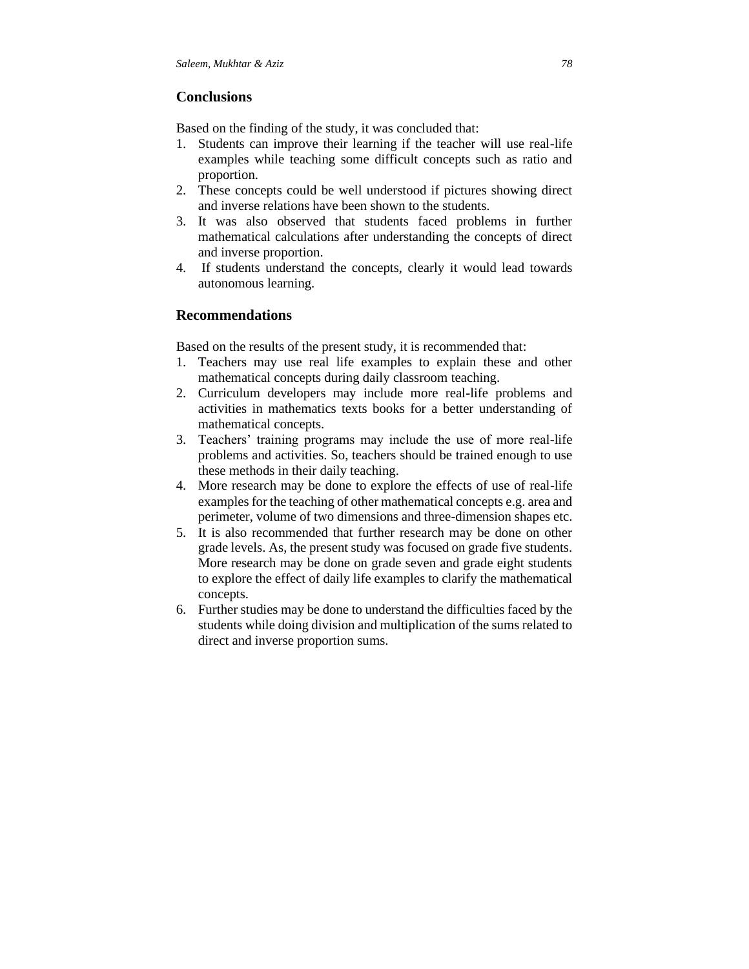# **Conclusions**

Based on the finding of the study, it was concluded that:

- 1. Students can improve their learning if the teacher will use real-life examples while teaching some difficult concepts such as ratio and proportion.
- 2. These concepts could be well understood if pictures showing direct and inverse relations have been shown to the students.
- 3. It was also observed that students faced problems in further mathematical calculations after understanding the concepts of direct and inverse proportion.
- 4. If students understand the concepts, clearly it would lead towards autonomous learning.

# **Recommendations**

Based on the results of the present study, it is recommended that:

- 1. Teachers may use real life examples to explain these and other mathematical concepts during daily classroom teaching.
- 2. Curriculum developers may include more real-life problems and activities in mathematics texts books for a better understanding of mathematical concepts.
- 3. Teachers' training programs may include the use of more real-life problems and activities. So, teachers should be trained enough to use these methods in their daily teaching.
- 4. More research may be done to explore the effects of use of real-life examples for the teaching of other mathematical concepts e.g. area and perimeter, volume of two dimensions and three-dimension shapes etc.
- 5. It is also recommended that further research may be done on other grade levels. As, the present study was focused on grade five students. More research may be done on grade seven and grade eight students to explore the effect of daily life examples to clarify the mathematical concepts.
- 6. Further studies may be done to understand the difficulties faced by the students while doing division and multiplication of the sums related to direct and inverse proportion sums.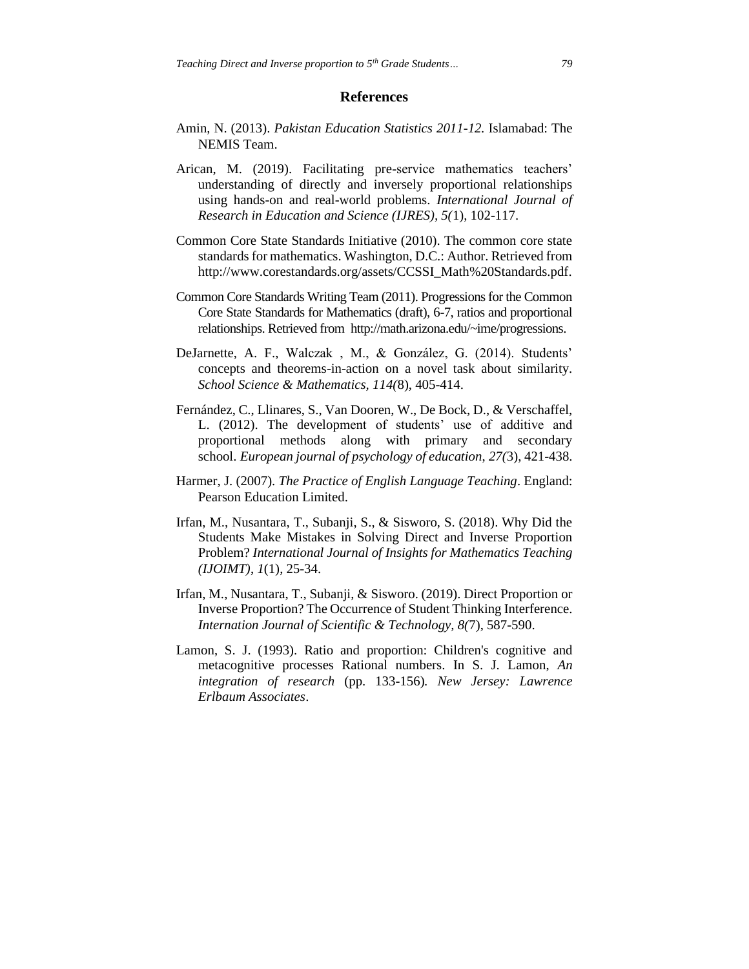#### **References**

- Amin, N. (2013). *Pakistan Education Statistics 2011-12.* Islamabad: The NEMIS Team.
- Arican, M. (2019). Facilitating pre-service mathematics teachers' understanding of directly and inversely proportional relationships using hands-on and real-world problems. *International Journal of Research in Education and Science (IJRES), 5(*1), 102-117.
- Common Core State Standards Initiative (2010). The common core state standards for mathematics. Washington, D.C.: Author. Retrieved from [http://www.corestandards.org/assets/CCSSI\\_Math%20Standards.pdf.](http://www.corestandards.org/assets/CCSSI_Math%20Standards.pdf)
- Common Core Standards Writing Team (2011). Progressions for the Common Core State Standards for Mathematics (draft), 6-7, ratios and proportional relationships. Retrieved from http://math.arizona.edu/~ime/progressions.
- DeJarnette, A. F., Walczak , M., & González, G. (2014). Students' concepts and theorems-in-action on a novel task about similarity. *School Science & Mathematics, 114(*8), 405-414.
- Fernández, C., Llinares, S., Van Dooren, W., De Bock, D., & Verschaffel, L. (2012). The development of students' use of additive and proportional methods along with primary and secondary school. *European journal of psychology of education*, *27(*3), 421-438.
- Harmer, J. (2007). *The Practice of English Language Teaching*. England: Pearson Education Limited.
- Irfan, M., Nusantara, T., Subanji, S., & Sisworo, S. (2018). Why Did the Students Make Mistakes in Solving Direct and Inverse Proportion Problem? *International Journal of Insights for Mathematics Teaching (IJOIMT)*, *1*(1), 25-34.
- Irfan, M., Nusantara, T., Subanji, & Sisworo. (2019). Direct Proportion or Inverse Proportion? The Occurrence of Student Thinking Interference. *Internation Journal of Scientific & Technology, 8(*7), 587-590.
- Lamon, S. J. (1993). Ratio and proportion: Children's cognitive and metacognitive processes Rational numbers. In S. J. Lamon, *An integration of research* (pp. 133-156)*. New Jersey: Lawrence Erlbaum Associates*.